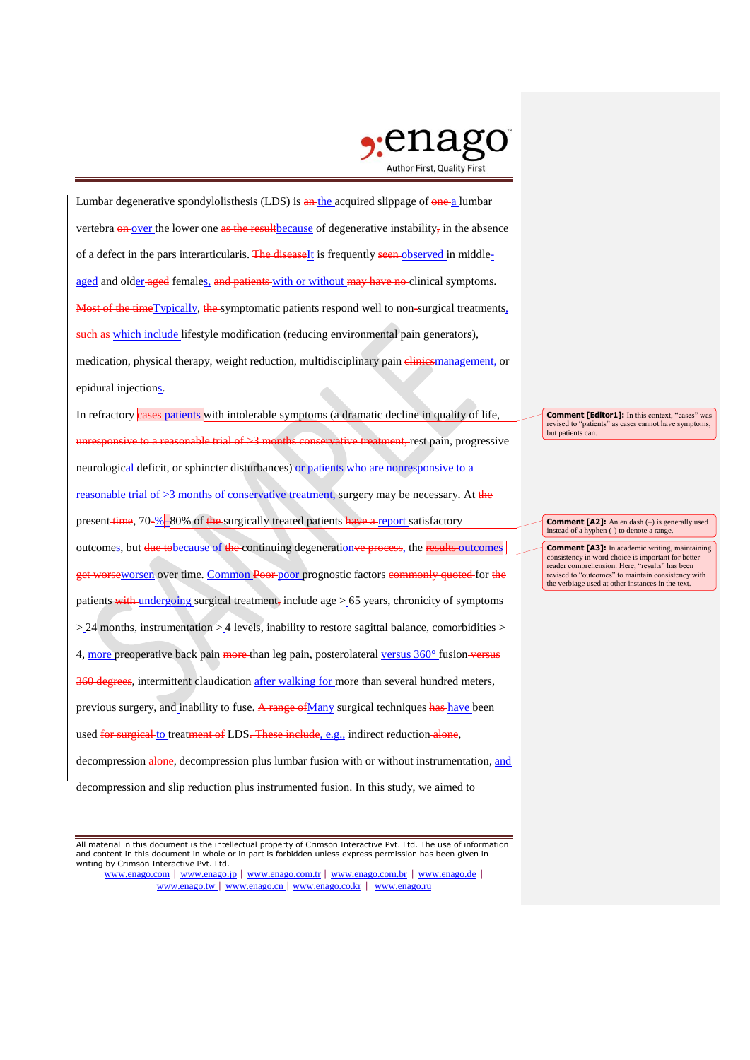

Lumbar degenerative spondylolisthesis (LDS) is an the acquired slippage of one a lumbar vertebra **on** over the lower one as the result because of degenerative instability, in the absence of a defect in the pars interarticularis. The diseaseIt is frequently seen observed in middleaged and older aged females, and patients with or without may have no clinical symptoms. Most of the timeTypically, the symptomatic patients respond well to non-surgical treatments, such as which include lifestyle modification (reducing environmental pain generators), medication, physical therapy, weight reduction, multidisciplinary pain elimiesmanagement, or epidural injections.

In refractory eases patients with intolerable symptoms (a dramatic decline in quality of life, to a reasonable trial of  $\geq$ 3 months conservative treatment, rest pain, progressive neurological deficit, or sphincter disturbances) or patients who are nonresponsive to a reasonable trial of  $>3$  months of conservative treatment, surgery may be necessary. At the present time, 70-%–80% of the surgically treated patients have a report satisfactory outcomes, but due tobecause of the continuing degeneration ve process, the results outcomes get worseworsen over time. Common Poor poor prognostic factors commonly quoted for the patients with undergoing surgical treatment, include age  $> 65$  years, chronicity of symptoms > 24 months, instrumentation > 4 levels, inability to restore sagittal balance, comorbidities > 4, more preoperative back pain more than leg pain, posterolateral versus 360° fusion versus 360 degrees, intermittent claudication after walking for more than several hundred meters, previous surgery, and inability to fuse. A range of Many surgical techniques has have been used for surgical to treatment of LDS. These include, e.g., indirect reduction alone, decompression-alone, decompression plus lumbar fusion with or without instrumentation, and

decompression and slip reduction plus instrumented fusion. In this study, we aimed to

All material in this document is the intellectual property of Crimson Interactive Pvt. Ltd. The use of information and content in this document in whole or in part is forbidden unless express permission has been given in writing by Crimson Interactive Pvt. Ltd.

www.enago.com | www.enago.jp | www.enago.com.tr | www.enago.com.br | www.enago.de | www.enago.tw | www.enago.cn | www.enago.co.kr | www.enago.ru

**Comment [Editor1]:** In this context, "cases" was revised to "patients" as cases cannot have symptoms, but patients can.

**Comment [A2]:** An en dash (–) is generally used instead of a hyphen (-) to denote a range.

**Comment [A3]:** In academic writing, maintaining consistency in word choice is important for better reader comprehension. Here, "results" has been revised to "outcomes" to maintain consistency with the verbiage used at other instances in the text.